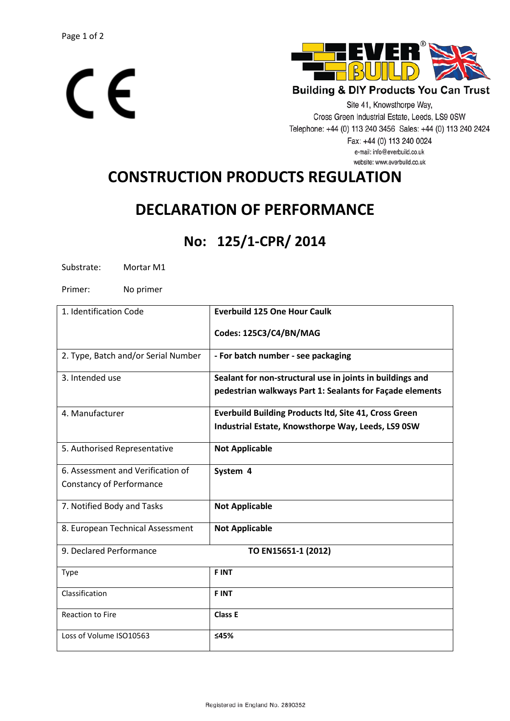



**Building & DIY Products You Can Trust** 

Site 41, Knowsthorpe Way, Cross Green Industrial Estate, Leeds, LS9 0SW Telephone: +44 (0) 113 240 3456 Sales: +44 (0) 113 240 2424 Fax: +44 (0) 113 240 0024 e-mail: info@everbuild.co.uk website: www.everbuild.co.uk

## **CONSTRUCTION PRODUCTS REGULATION**

## **DECLARATION OF PERFORMANCE**

## **No: 125/1-CPR/ 2014**

Substrate: Mortar M1

Primer: No primer

| 1. Identification Code              | <b>Everbuild 125 One Hour Caulk</b>                          |
|-------------------------------------|--------------------------------------------------------------|
|                                     | Codes: 125C3/C4/BN/MAG                                       |
| 2. Type, Batch and/or Serial Number | - For batch number - see packaging                           |
| 3. Intended use                     | Sealant for non-structural use in joints in buildings and    |
|                                     | pedestrian walkways Part 1: Sealants for Façade elements     |
| 4. Manufacturer                     | <b>Everbuild Building Products ltd, Site 41, Cross Green</b> |
|                                     | Industrial Estate, Knowsthorpe Way, Leeds, LS9 0SW           |
| 5. Authorised Representative        | <b>Not Applicable</b>                                        |
| 6. Assessment and Verification of   | System 4                                                     |
| <b>Constancy of Performance</b>     |                                                              |
| 7. Notified Body and Tasks          | <b>Not Applicable</b>                                        |
| 8. European Technical Assessment    | <b>Not Applicable</b>                                        |
| 9. Declared Performance             | TO EN15651-1 (2012)                                          |
| <b>Type</b>                         | <b>FINT</b>                                                  |
| Classification                      | <b>FINT</b>                                                  |
| <b>Reaction to Fire</b>             | <b>Class E</b>                                               |
| Loss of Volume ISO10563             | ≤45%                                                         |